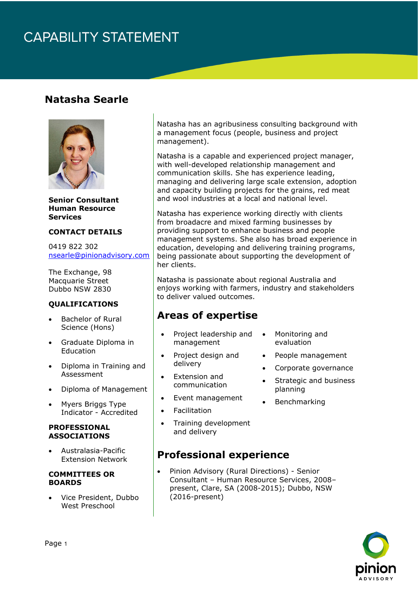# **CAPABILITY STATEMENT**

### **Natasha Searle**



**Senior Consultant Human Resource Services**

#### **CONTACT DETAILS**

0419 822 302 [nsearle@pinionadvisory.com](mailto:nsearle@pinionadvisory.com)

The Exchange, 98 Macquarie Street Dubbo NSW 2830

#### **QUALIFICATIONS**

- Bachelor of Rural Science (Hons)
- Graduate Diploma in Education
- Diploma in Training and Assessment
- Diploma of Management
- Myers Briggs Type Indicator - Accredited

#### **PROFESSIONAL ASSOCIATIONS**

• Australasia-Pacific Extension Network

#### **COMMITTEES OR BOARDS**

• Vice President, Dubbo West Preschool

Natasha has an agribusiness consulting background with a management focus (people, business and project management).

Natasha is a capable and experienced project manager, with well-developed relationship management and communication skills. She has experience leading, managing and delivering large scale extension, adoption and capacity building projects for the grains, red meat and wool industries at a local and national level.

Natasha has experience working directly with clients from broadacre and mixed farming businesses by providing support to enhance business and people management systems. She also has broad experience in education, developing and delivering training programs, being passionate about supporting the development of her clients.

Natasha is passionate about regional Australia and enjoys working with farmers, industry and stakeholders to deliver valued outcomes.

## **Areas of expertise**

- Project leadership and management
- Project design and delivery
- Extension and communication
- Event management
- **Facilitation**
- Training development and delivery

### **Professional experience**

• Pinion Advisory (Rural Directions) - Senior Consultant – Human Resource Services, 2008– present, Clare, SA (2008-2015); Dubbo, NSW (2016-present)

- Monitoring and evaluation
- People management
- Corporate governance
- Strategic and business planning
- **Benchmarking**